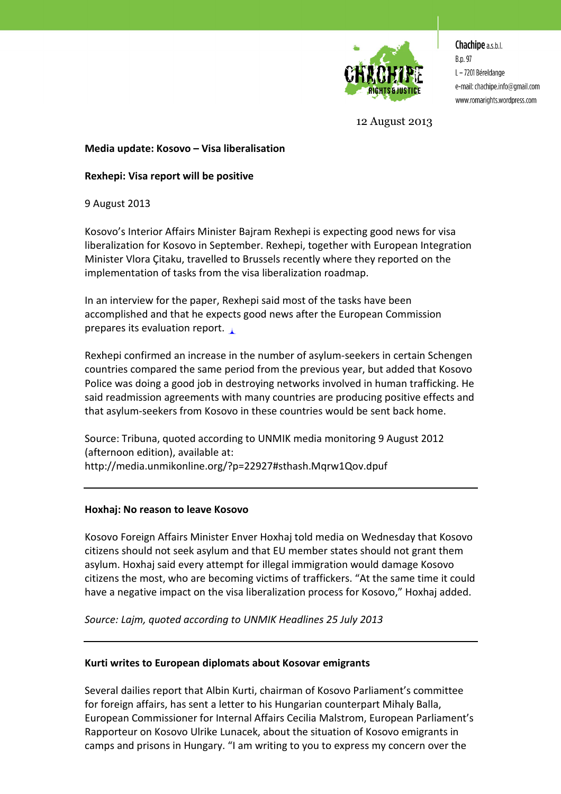

**Chachipe** a.s.b.l. B.p. 97 L - 7201 Béreldange e-mail: chachipe.info@gmail.com www.romarights.wordpress.com

12 August 2013

# **Media update: Kosovo – Visa liberalisation**

# **Rexhepi: Visa report will be positive**

9 August 2013

Kosovo's Interior Affairs Minister Bajram Rexhepi is expecting good news for visa liberalization for Kosovo in September. Rexhepi, together with European Integration Minister Vlora Çitaku, travelled to Brussels recently where they reported on the implementation of tasks from the visa liberalization roadmap.

In an interview for the paper, Rexhepi said most of the tasks have been accomplished and that he expects good news after the European Commission prepares its evaluation report.

Rexhepi confirmed an increase in the number of asylum-seekers in certain Schengen countries compared the same period from the previous year, but added that Kosovo Police was doing a good job in destroying networks involved in human trafficking. He said readmission agreements with many countries are producing positive effects and that asylum-seekers from Kosovo in these countries would be sent back home.

Source: Tribuna, quoted according to UNMIK media monitoring 9 August 2012 (afternoon edition), available at: http://media.unmikonline.org/?p=22927#sthash.Mqrw1Qov.dpuf

## **Hoxhaj: No reason to leave Kosovo**

Kosovo Foreign Affairs Minister Enver Hoxhaj told media on Wednesday that Kosovo citizens should not seek asylum and that EU member states should not grant them asylum. Hoxhaj said every attempt for illegal immigration would damage Kosovo citizens the most, who are becoming victims of traffickers. "At the same time it could have a negative impact on the visa liberalization process for Kosovo," Hoxhaj added.

*Source: Lajm, quoted according to UNMIK Headlines 25 July 2013* 

## **Kurti writes to European diplomats about Kosovar emigrants**

Several dailies report that Albin Kurti, chairman of Kosovo Parliament's committee for foreign affairs, has sent a letter to his Hungarian counterpart Mihaly Balla, European Commissioner for Internal Affairs Cecilia Malstrom, European Parliament's Rapporteur on Kosovo Ulrike Lunacek, about the situation of Kosovo emigrants in camps and prisons in Hungary. "I am writing to you to express my concern over the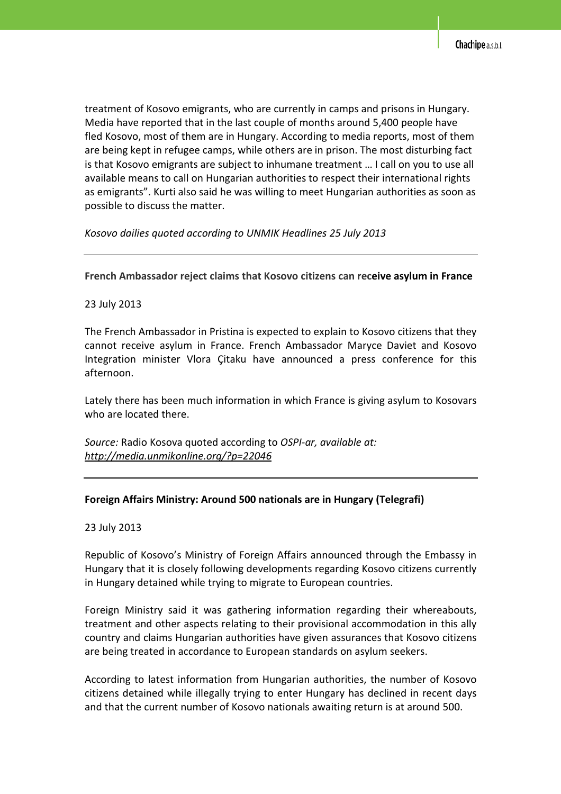treatment of Kosovo emigrants, who are currently in camps and prisons in Hungary. Media have reported that in the last couple of months around 5,400 people have fled Kosovo, most of them are in Hungary. According to media reports, most of them are being kept in refugee camps, while others are in prison. The most disturbing fact is that Kosovo emigrants are subject to inhumane treatment … I call on you to use all available means to call on Hungarian authorities to respect their international rights as emigrants". Kurti also said he was willing to meet Hungarian authorities as soon as possible to discuss the matter.

*Kosovo dailies quoted according to UNMIK Headlines 25 July 2013* 

## **French Ambassador reject claims that Kosovo citizens can receive asylum in France**

## 23 July 2013

The French Ambassador in Pristina is expected to explain to Kosovo citizens that they cannot receive asylum in France. French Ambassador Maryce Daviet and Kosovo Integration minister Vlora Çitaku have announced a press conference for this afternoon.

Lately there has been much information in which France is giving asylum to Kosovars who are located there.

*Source:* Radio Kosova quoted according to *OSPI-ar, available at: http://media.unmikonline.org/?p=22046*

### **Foreign Affairs Ministry: Around 500 nationals are in Hungary (Telegrafi)**

### 23 July 2013

Republic of Kosovo's Ministry of Foreign Affairs announced through the Embassy in Hungary that it is closely following developments regarding Kosovo citizens currently in Hungary detained while trying to migrate to European countries.

Foreign Ministry said it was gathering information regarding their whereabouts, treatment and other aspects relating to their provisional accommodation in this ally country and claims Hungarian authorities have given assurances that Kosovo citizens are being treated in accordance to European standards on asylum seekers.

According to latest information from Hungarian authorities, the number of Kosovo citizens detained while illegally trying to enter Hungary has declined in recent days and that the current number of Kosovo nationals awaiting return is at around 500.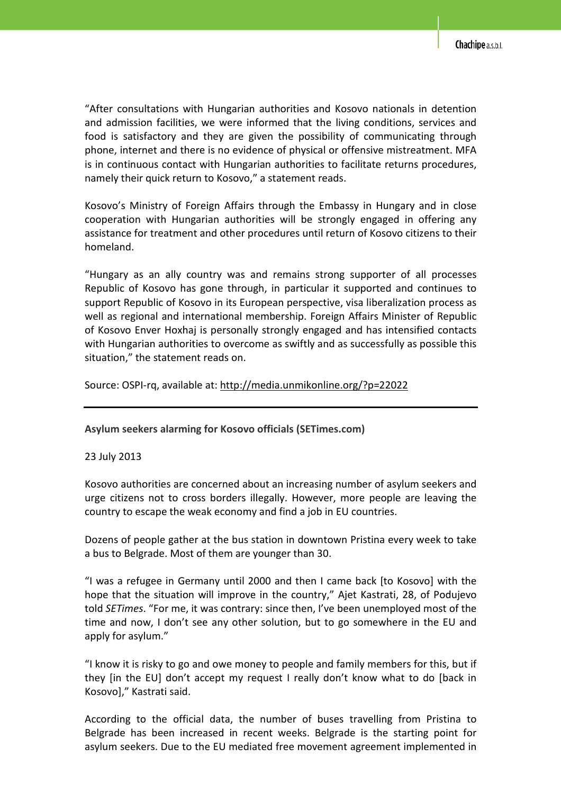"After consultations with Hungarian authorities and Kosovo nationals in detention and admission facilities, we were informed that the living conditions, services and food is satisfactory and they are given the possibility of communicating through phone, internet and there is no evidence of physical or offensive mistreatment. MFA is in continuous contact with Hungarian authorities to facilitate returns procedures, namely their quick return to Kosovo," a statement reads.

Kosovo's Ministry of Foreign Affairs through the Embassy in Hungary and in close cooperation with Hungarian authorities will be strongly engaged in offering any assistance for treatment and other procedures until return of Kosovo citizens to their homeland.

"Hungary as an ally country was and remains strong supporter of all processes Republic of Kosovo has gone through, in particular it supported and continues to support Republic of Kosovo in its European perspective, visa liberalization process as well as regional and international membership. Foreign Affairs Minister of Republic of Kosovo Enver Hoxhaj is personally strongly engaged and has intensified contacts with Hungarian authorities to overcome as swiftly and as successfully as possible this situation," the statement reads on.

Source: OSPI-rq, available at: http://media.unmikonline.org/?p=22022

### **Asylum seekers alarming for Kosovo officials (SETimes.com)**

### 23 July 2013

Kosovo authorities are concerned about an increasing number of asylum seekers and urge citizens not to cross borders illegally. However, more people are leaving the country to escape the weak economy and find a job in EU countries.

Dozens of people gather at the bus station in downtown Pristina every week to take a bus to Belgrade. Most of them are younger than 30.

"I was a refugee in Germany until 2000 and then I came back [to Kosovo] with the hope that the situation will improve in the country," Ajet Kastrati, 28, of Podujevo told *SETimes*. "For me, it was contrary: since then, I've been unemployed most of the time and now, I don't see any other solution, but to go somewhere in the EU and apply for asylum."

"I know it is risky to go and owe money to people and family members for this, but if they [in the EU] don't accept my request I really don't know what to do [back in Kosovo]," Kastrati said.

According to the official data, the number of buses travelling from Pristina to Belgrade has been increased in recent weeks. Belgrade is the starting point for asylum seekers. Due to the EU mediated free movement agreement implemented in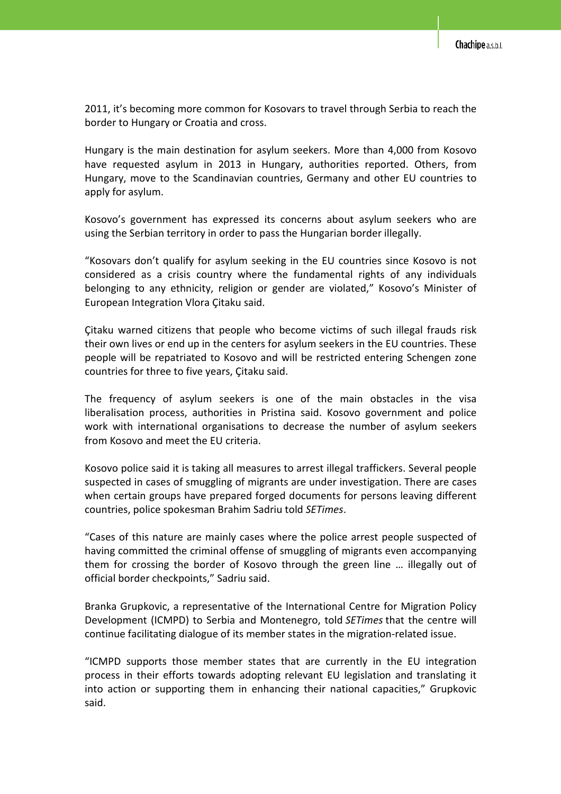2011, it's becoming more common for Kosovars to travel through Serbia to reach the border to Hungary or Croatia and cross.

Hungary is the main destination for asylum seekers. More than 4,000 from Kosovo have requested asylum in 2013 in Hungary, authorities reported. Others, from Hungary, move to the Scandinavian countries, Germany and other EU countries to apply for asylum.

Kosovo's government has expressed its concerns about asylum seekers who are using the Serbian territory in order to pass the Hungarian border illegally.

"Kosovars don't qualify for asylum seeking in the EU countries since Kosovo is not considered as a crisis country where the fundamental rights of any individuals belonging to any ethnicity, religion or gender are violated," Kosovo's Minister of European Integration Vlora Çitaku said.

Çitaku warned citizens that people who become victims of such illegal frauds risk their own lives or end up in the centers for asylum seekers in the EU countries. These people will be repatriated to Kosovo and will be restricted entering Schengen zone countries for three to five years, Çitaku said.

The frequency of asylum seekers is one of the main obstacles in the visa liberalisation process, authorities in Pristina said. Kosovo government and police work with international organisations to decrease the number of asylum seekers from Kosovo and meet the EU criteria.

Kosovo police said it is taking all measures to arrest illegal traffickers. Several people suspected in cases of smuggling of migrants are under investigation. There are cases when certain groups have prepared forged documents for persons leaving different countries, police spokesman Brahim Sadriu told *SETimes*.

"Cases of this nature are mainly cases where the police arrest people suspected of having committed the criminal offense of smuggling of migrants even accompanying them for crossing the border of Kosovo through the green line … illegally out of official border checkpoints," Sadriu said.

Branka Grupkovic, a representative of the International Centre for Migration Policy Development (ICMPD) to Serbia and Montenegro, told *SETimes* that the centre will continue facilitating dialogue of its member states in the migration-related issue.

"ICMPD supports those member states that are currently in the EU integration process in their efforts towards adopting relevant EU legislation and translating it into action or supporting them in enhancing their national capacities," Grupkovic said.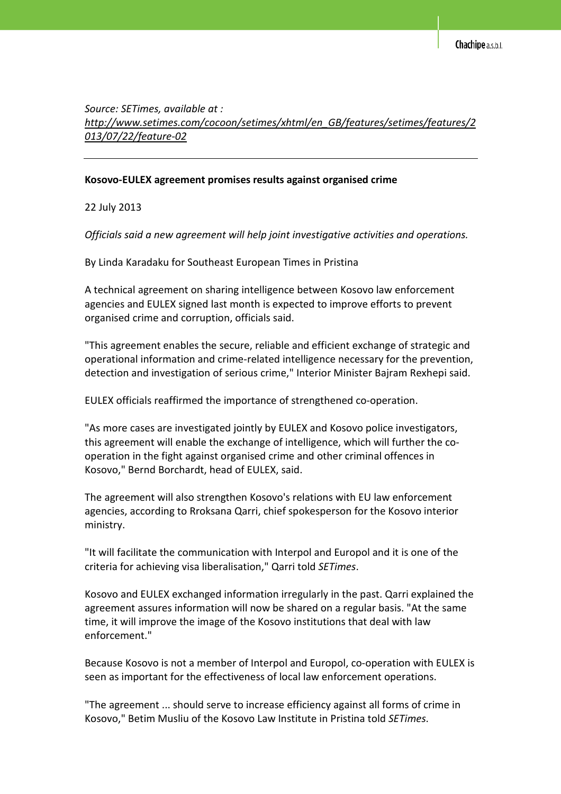*Source: SETimes, available at : http://www.setimes.com/cocoon/setimes/xhtml/en\_GB/features/setimes/features/2 013/07/22/feature-02*

#### **Kosovo-EULEX agreement promises results against organised crime**

22 July 2013

*Officials said a new agreement will help joint investigative activities and operations.* 

By Linda Karadaku for Southeast European Times in Pristina

A technical agreement on sharing intelligence between Kosovo law enforcement agencies and EULEX signed last month is expected to improve efforts to prevent organised crime and corruption, officials said.

"This agreement enables the secure, reliable and efficient exchange of strategic and operational information and crime-related intelligence necessary for the prevention, detection and investigation of serious crime," Interior Minister Bajram Rexhepi said.

EULEX officials reaffirmed the importance of strengthened co-operation.

"As more cases are investigated jointly by EULEX and Kosovo police investigators, this agreement will enable the exchange of intelligence, which will further the cooperation in the fight against organised crime and other criminal offences in Kosovo," Bernd Borchardt, head of EULEX, said.

The agreement will also strengthen Kosovo's relations with EU law enforcement agencies, according to Rroksana Qarri, chief spokesperson for the Kosovo interior ministry.

"It will facilitate the communication with Interpol and Europol and it is one of the criteria for achieving visa liberalisation," Qarri told *SETimes*.

Kosovo and EULEX exchanged information irregularly in the past. Qarri explained the agreement assures information will now be shared on a regular basis. "At the same time, it will improve the image of the Kosovo institutions that deal with law enforcement."

Because Kosovo is not a member of Interpol and Europol, co-operation with EULEX is seen as important for the effectiveness of local law enforcement operations.

"The agreement ... should serve to increase efficiency against all forms of crime in Kosovo," Betim Musliu of the Kosovo Law Institute in Pristina told *SETimes*.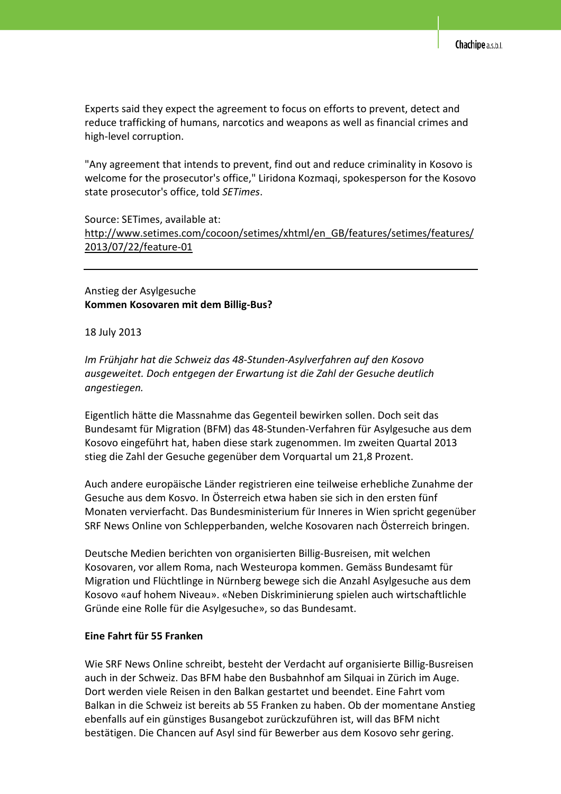Experts said they expect the agreement to focus on efforts to prevent, detect and reduce trafficking of humans, narcotics and weapons as well as financial crimes and high-level corruption.

"Any agreement that intends to prevent, find out and reduce criminality in Kosovo is welcome for the prosecutor's office," Liridona Kozmaqi, spokesperson for the Kosovo state prosecutor's office, told *SETimes*.

# Source: SETimes, available at: http://www.setimes.com/cocoon/setimes/xhtml/en\_GB/features/setimes/features/ 2013/07/22/feature-01

Anstieg der Asylgesuche **Kommen Kosovaren mit dem Billig-Bus?** 

#### 18 July 2013

*Im Frühjahr hat die Schweiz das 48-Stunden-Asylverfahren auf den Kosovo ausgeweitet. Doch entgegen der Erwartung ist die Zahl der Gesuche deutlich angestiegen.* 

Eigentlich hätte die Massnahme das Gegenteil bewirken sollen. Doch seit das Bundesamt für Migration (BFM) das 48-Stunden-Verfahren für Asylgesuche aus dem Kosovo eingeführt hat, haben diese stark zugenommen. Im zweiten Quartal 2013 stieg die Zahl der Gesuche gegenüber dem Vorquartal um 21,8 Prozent.

Auch andere europäische Länder registrieren eine teilweise erhebliche Zunahme der Gesuche aus dem Kosvo. In Österreich etwa haben sie sich in den ersten fünf Monaten vervierfacht. Das Bundesministerium für Inneres in Wien spricht gegenüber SRF News Online von Schlepperbanden, welche Kosovaren nach Österreich bringen.

Deutsche Medien berichten von organisierten Billig-Busreisen, mit welchen Kosovaren, vor allem Roma, nach Westeuropa kommen. Gemäss Bundesamt für Migration und Flüchtlinge in Nürnberg bewege sich die Anzahl Asylgesuche aus dem Kosovo «auf hohem Niveau». «Neben Diskriminierung spielen auch wirtschaftlichle Gründe eine Rolle für die Asylgesuche», so das Bundesamt.

### **Eine Fahrt für 55 Franken**

Wie SRF News Online schreibt, besteht der Verdacht auf organisierte Billig-Busreisen auch in der Schweiz. Das BFM habe den Busbahnhof am Silquai in Zürich im Auge. Dort werden viele Reisen in den Balkan gestartet und beendet. Eine Fahrt vom Balkan in die Schweiz ist bereits ab 55 Franken zu haben. Ob der momentane Anstieg ebenfalls auf ein günstiges Busangebot zurückzuführen ist, will das BFM nicht bestätigen. Die Chancen auf Asyl sind für Bewerber aus dem Kosovo sehr gering.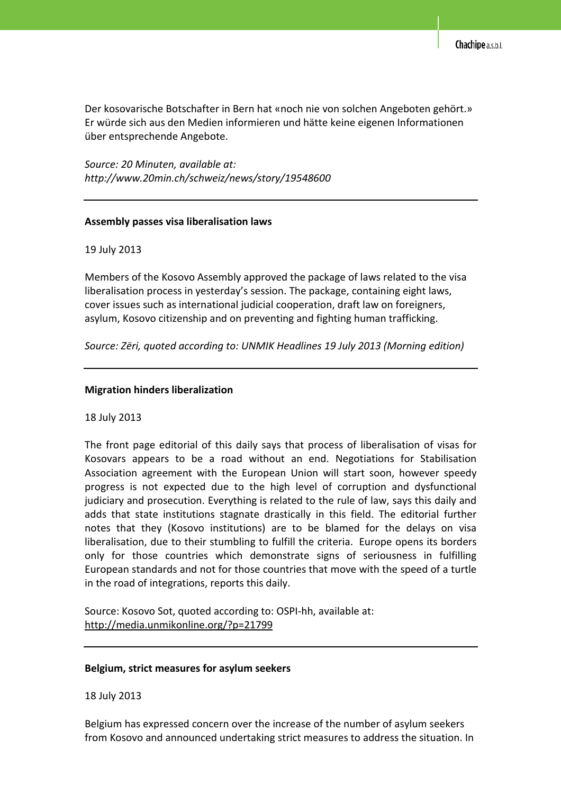Der kosovarische Botschafter in Bern hat «noch nie von solchen Angeboten gehört.» Er würde sich aus den Medien informieren und hätte keine eigenen Informationen über entsprechende Angebote.

*Source: 20 Minuten, available at: http://www.20min.ch/schweiz/news/story/19548600* 

#### **Assembly passes visa liberalisation laws**

#### 19 July 2013

Members of the Kosovo Assembly approved the package of laws related to the visa liberalisation process in yesterday's session. The package, containing eight laws, cover issues such as international judicial cooperation, draft law on foreigners, asylum, Kosovo citizenship and on preventing and fighting human trafficking.

*Source: Zëri, quoted according to: UNMIK Headlines 19 July 2013 (Morning edition)* 

### **Migration hinders liberalization**

#### 18 July 2013

The front page editorial of this daily says that process of liberalisation of visas for Kosovars appears to be a road without an end. Negotiations for Stabilisation Association agreement with the European Union will start soon, however speedy progress is not expected due to the high level of corruption and dysfunctional judiciary and prosecution. Everything is related to the rule of law, says this daily and adds that state institutions stagnate drastically in this field. The editorial further notes that they (Kosovo institutions) are to be blamed for the delays on visa liberalisation, due to their stumbling to fulfill the criteria. Europe opens its borders only for those countries which demonstrate signs of seriousness in fulfilling European standards and not for those countries that move with the speed of a turtle in the road of integrations, reports this daily.

Source: Kosovo Sot, quoted according to: OSPI-hh, available at: http://media.unmikonline.org/?p=21799

#### **Belgium, strict measures for asylum seekers**

18 July 2013

Belgium has expressed concern over the increase of the number of asylum seekers from Kosovo and announced undertaking strict measures to address the situation. In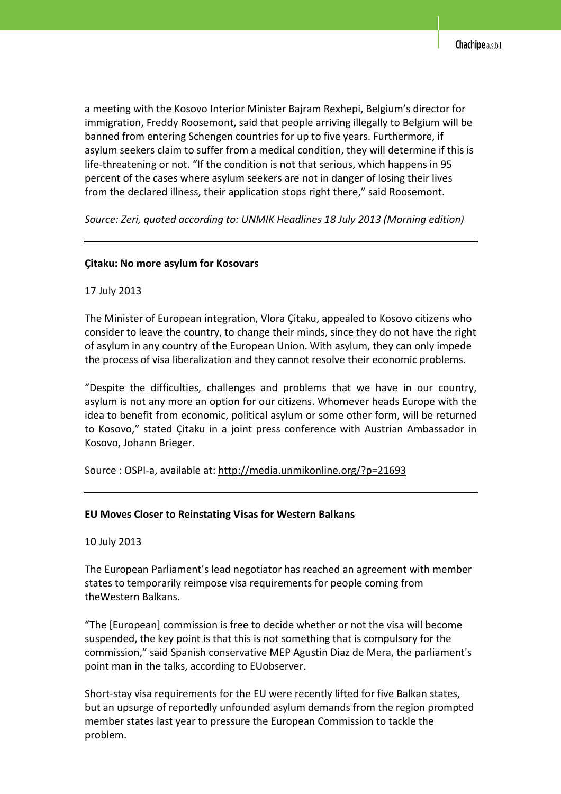a meeting with the Kosovo Interior Minister Bajram Rexhepi, Belgium's director for immigration, Freddy Roosemont, said that people arriving illegally to Belgium will be banned from entering Schengen countries for up to five years. Furthermore, if asylum seekers claim to suffer from a medical condition, they will determine if this is life-threatening or not. "If the condition is not that serious, which happens in 95 percent of the cases where asylum seekers are not in danger of losing their lives from the declared illness, their application stops right there," said Roosemont.

*Source: Zeri, quoted according to: UNMIK Headlines 18 July 2013 (Morning edition)* 

## **Çitaku: No more asylum for Kosovars**

## 17 July 2013

The Minister of European integration, Vlora Çitaku, appealed to Kosovo citizens who consider to leave the country, to change their minds, since they do not have the right of asylum in any country of the European Union. With asylum, they can only impede the process of visa liberalization and they cannot resolve their economic problems.

"Despite the difficulties, challenges and problems that we have in our country, asylum is not any more an option for our citizens. Whomever heads Europe with the idea to benefit from economic, political asylum or some other form, will be returned to Kosovo," stated Çitaku in a joint press conference with Austrian Ambassador in Kosovo, Johann Brieger.

Source : OSPI-a, available at: http://media.unmikonline.org/?p=21693

### **EU Moves Closer to Reinstating Visas for Western Balkans**

10 July 2013

The European Parliament's lead negotiator has reached an agreement with member states to temporarily reimpose visa requirements for people coming from theWestern Balkans.

"The [European] commission is free to decide whether or not the visa will become suspended, the key point is that this is not something that is compulsory for the commission," said Spanish conservative MEP Agustin Diaz de Mera, the parliament's point man in the talks, according to EUobserver.

Short-stay visa requirements for the EU were recently lifted for five Balkan states, but an upsurge of reportedly unfounded asylum demands from the region prompted member states last year to pressure the European Commission to tackle the problem.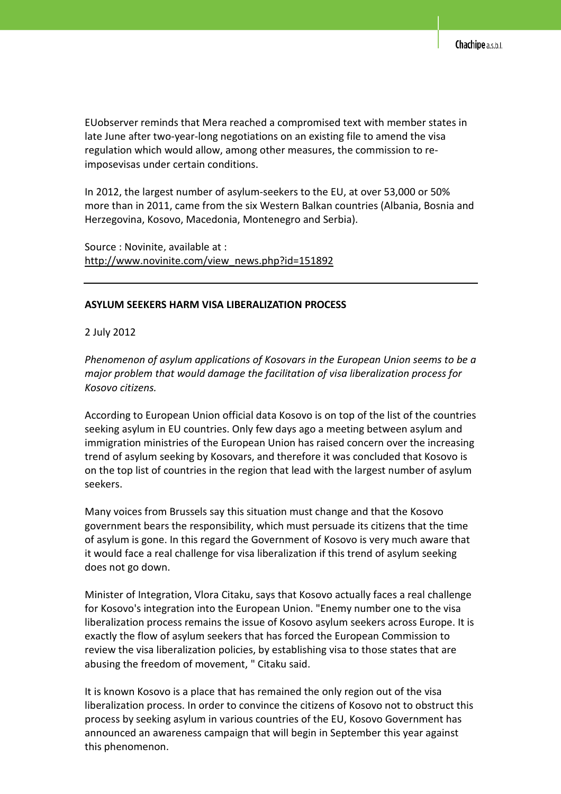EUobserver reminds that Mera reached a compromised text with member states in late June after two-year-long negotiations on an existing file to amend the visa regulation which would allow, among other measures, the commission to reimposevisas under certain conditions.

In 2012, the largest number of asylum-seekers to the EU, at over 53,000 or 50% more than in 2011, came from the six Western Balkan countries (Albania, Bosnia and Herzegovina, Kosovo, Macedonia, Montenegro and Serbia).

Source : Novinite, available at : http://www.novinite.com/view\_news.php?id=151892

#### **ASYLUM SEEKERS HARM VISA LIBERALIZATION PROCESS**

2 July 2012

*Phenomenon of asylum applications of Kosovars in the European Union seems to be a major problem that would damage the facilitation of visa liberalization process for Kosovo citizens.* 

According to European Union official data Kosovo is on top of the list of the countries seeking asylum in EU countries. Only few days ago a meeting between asylum and immigration ministries of the European Union has raised concern over the increasing trend of asylum seeking by Kosovars, and therefore it was concluded that Kosovo is on the top list of countries in the region that lead with the largest number of asylum seekers.

Many voices from Brussels say this situation must change and that the Kosovo government bears the responsibility, which must persuade its citizens that the time of asylum is gone. In this regard the Government of Kosovo is very much aware that it would face a real challenge for visa liberalization if this trend of asylum seeking does not go down.

Minister of Integration, Vlora Citaku, says that Kosovo actually faces a real challenge for Kosovo's integration into the European Union. "Enemy number one to the visa liberalization process remains the issue of Kosovo asylum seekers across Europe. It is exactly the flow of asylum seekers that has forced the European Commission to review the visa liberalization policies, by establishing visa to those states that are abusing the freedom of movement, " Citaku said.

It is known Kosovo is a place that has remained the only region out of the visa liberalization process. In order to convince the citizens of Kosovo not to obstruct this process by seeking asylum in various countries of the EU, Kosovo Government has announced an awareness campaign that will begin in September this year against this phenomenon.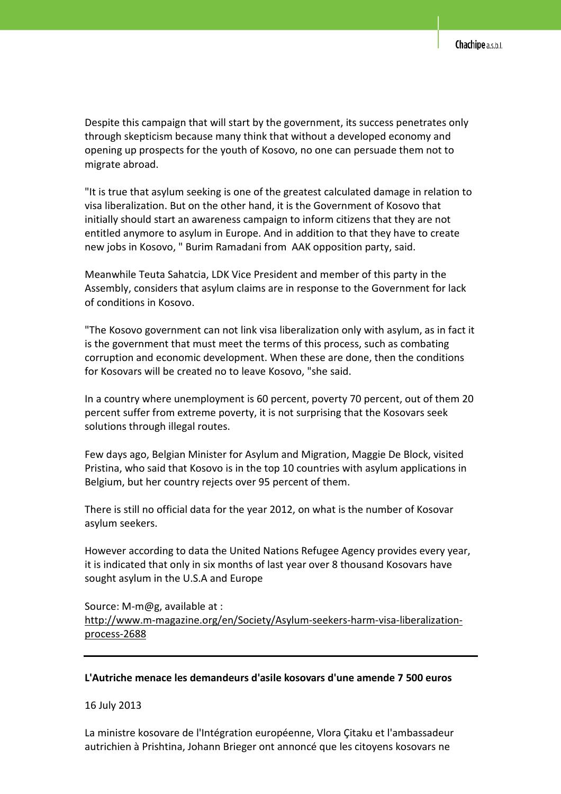Despite this campaign that will start by the government, its success penetrates only through skepticism because many think that without a developed economy and opening up prospects for the youth of Kosovo, no one can persuade them not to migrate abroad.

"It is true that asylum seeking is one of the greatest calculated damage in relation to visa liberalization. But on the other hand, it is the Government of Kosovo that initially should start an awareness campaign to inform citizens that they are not entitled anymore to asylum in Europe. And in addition to that they have to create new jobs in Kosovo, " Burim Ramadani from AAK opposition party, said.

Meanwhile Teuta Sahatcia, LDK Vice President and member of this party in the Assembly, considers that asylum claims are in response to the Government for lack of conditions in Kosovo.

"The Kosovo government can not link visa liberalization only with asylum, as in fact it is the government that must meet the terms of this process, such as combating corruption and economic development. When these are done, then the conditions for Kosovars will be created no to leave Kosovo, "she said.

In a country where unemployment is 60 percent, poverty 70 percent, out of them 20 percent suffer from extreme poverty, it is not surprising that the Kosovars seek solutions through illegal routes.

Few days ago, Belgian Minister for Asylum and Migration, Maggie De Block, visited Pristina, who said that Kosovo is in the top 10 countries with asylum applications in Belgium, but her country rejects over 95 percent of them.

There is still no official data for the year 2012, on what is the number of Kosovar asylum seekers.

However according to data the United Nations Refugee Agency provides every year, it is indicated that only in six months of last year over 8 thousand Kosovars have sought asylum in the U.S.A and Europe

# Source: M-m@g, available at : http://www.m-magazine.org/en/Society/Asylum-seekers-harm-visa-liberalizationprocess-2688

### **L'Autriche menace les demandeurs d'asile kosovars d'une amende 7 500 euros**

16 July 2013

La ministre kosovare de l'Intégration européenne, Vlora Çitaku et l'ambassadeur autrichien à Prishtina, Johann Brieger ont annoncé que les citoyens kosovars ne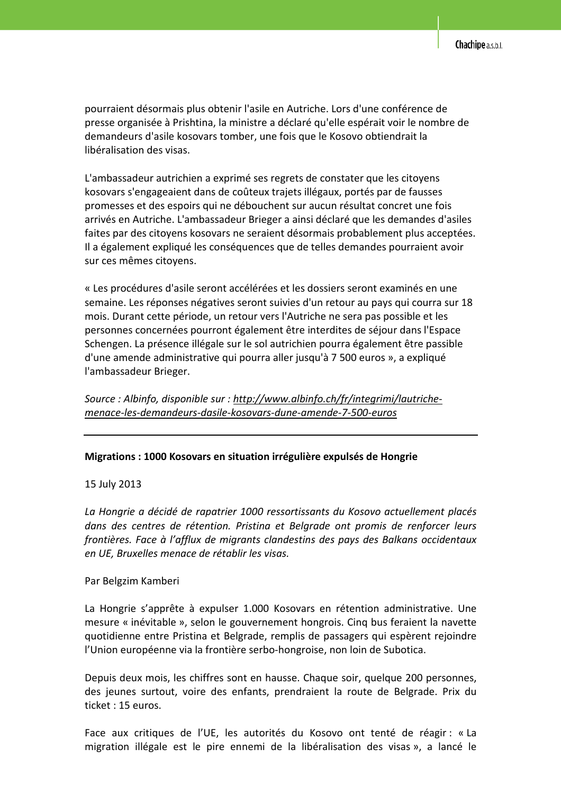pourraient désormais plus obtenir l'asile en Autriche. Lors d'une conférence de presse organisée à Prishtina, la ministre a déclaré qu'elle espérait voir le nombre de demandeurs d'asile kosovars tomber, une fois que le Kosovo obtiendrait la libéralisation des visas.

L'ambassadeur autrichien a exprimé ses regrets de constater que les citoyens kosovars s'engageaient dans de coûteux trajets illégaux, portés par de fausses promesses et des espoirs qui ne débouchent sur aucun résultat concret une fois arrivés en Autriche. L'ambassadeur Brieger a ainsi déclaré que les demandes d'asiles faites par des citoyens kosovars ne seraient désormais probablement plus acceptées. Il a également expliqué les conséquences que de telles demandes pourraient avoir sur ces mêmes citoyens.

« Les procédures d'asile seront accélérées et les dossiers seront examinés en une semaine. Les réponses négatives seront suivies d'un retour au pays qui courra sur 18 mois. Durant cette période, un retour vers l'Autriche ne sera pas possible et les personnes concernées pourront également être interdites de séjour dans l'Espace Schengen. La présence illégale sur le sol autrichien pourra également être passible d'une amende administrative qui pourra aller jusqu'à 7 500 euros », a expliqué l'ambassadeur Brieger.

*Source : Albinfo, disponible sur : http://www.albinfo.ch/fr/integrimi/lautrichemenace-les-demandeurs-dasile-kosovars-dune-amende-7-500-euros*

#### **Migrations : 1000 Kosovars en situation irrégulière expulsés de Hongrie**

15 July 2013

*La Hongrie a décidé de rapatrier 1000 ressortissants du Kosovo actuellement placés dans des centres de rétention. Pristina et Belgrade ont promis de renforcer leurs frontières. Face à l'afflux de migrants clandestins des pays des Balkans occidentaux en UE, Bruxelles menace de rétablir les visas.* 

Par Belgzim Kamberi

La Hongrie s'apprête à expulser 1.000 Kosovars en rétention administrative. Une mesure « inévitable », selon le gouvernement hongrois. Cinq bus feraient la navette quotidienne entre Pristina et Belgrade, remplis de passagers qui espèrent rejoindre l'Union européenne via la frontière serbo-hongroise, non loin de Subotica.

Depuis deux mois, les chiffres sont en hausse. Chaque soir, quelque 200 personnes, des jeunes surtout, voire des enfants, prendraient la route de Belgrade. Prix du ticket : 15 euros.

Face aux critiques de l'UE, les autorités du Kosovo ont tenté de réagir : « La migration illégale est le pire ennemi de la libéralisation des visas », a lancé le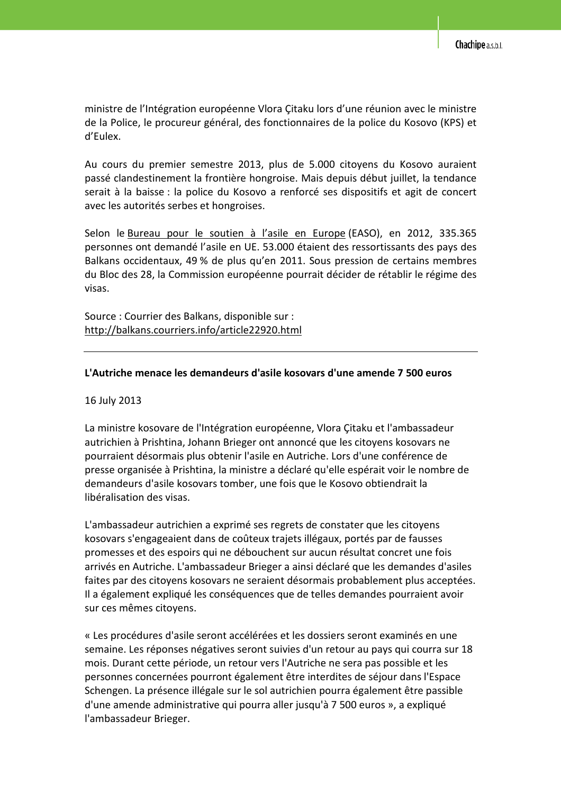ministre de l'Intégration européenne Vlora Çitaku lors d'une réunion avec le ministre de la Police, le procureur général, des fonctionnaires de la police du Kosovo (KPS) et d'Eulex.

Au cours du premier semestre 2013, plus de 5.000 citoyens du Kosovo auraient passé clandestinement la frontière hongroise. Mais depuis début juillet, la tendance serait à la baisse : la police du Kosovo a renforcé ses dispositifs et agit de concert avec les autorités serbes et hongroises.

Selon le Bureau pour le soutien à l'asile en Europe (EASO), en 2012, 335.365 personnes ont demandé l'asile en UE. 53.000 étaient des ressortissants des pays des Balkans occidentaux, 49 % de plus qu'en 2011. Sous pression de certains membres du Bloc des 28, la Commission européenne pourrait décider de rétablir le régime des visas.

Source : Courrier des Balkans, disponible sur : http://balkans.courriers.info/article22920.html

### **L'Autriche menace les demandeurs d'asile kosovars d'une amende 7 500 euros**

16 July 2013

La ministre kosovare de l'Intégration européenne, Vlora Çitaku et l'ambassadeur autrichien à Prishtina, Johann Brieger ont annoncé que les citoyens kosovars ne pourraient désormais plus obtenir l'asile en Autriche. Lors d'une conférence de presse organisée à Prishtina, la ministre a déclaré qu'elle espérait voir le nombre de demandeurs d'asile kosovars tomber, une fois que le Kosovo obtiendrait la libéralisation des visas.

L'ambassadeur autrichien a exprimé ses regrets de constater que les citoyens kosovars s'engageaient dans de coûteux trajets illégaux, portés par de fausses promesses et des espoirs qui ne débouchent sur aucun résultat concret une fois arrivés en Autriche. L'ambassadeur Brieger a ainsi déclaré que les demandes d'asiles faites par des citoyens kosovars ne seraient désormais probablement plus acceptées. Il a également expliqué les conséquences que de telles demandes pourraient avoir sur ces mêmes citoyens.

« Les procédures d'asile seront accélérées et les dossiers seront examinés en une semaine. Les réponses négatives seront suivies d'un retour au pays qui courra sur 18 mois. Durant cette période, un retour vers l'Autriche ne sera pas possible et les personnes concernées pourront également être interdites de séjour dans l'Espace Schengen. La présence illégale sur le sol autrichien pourra également être passible d'une amende administrative qui pourra aller jusqu'à 7 500 euros », a expliqué l'ambassadeur Brieger.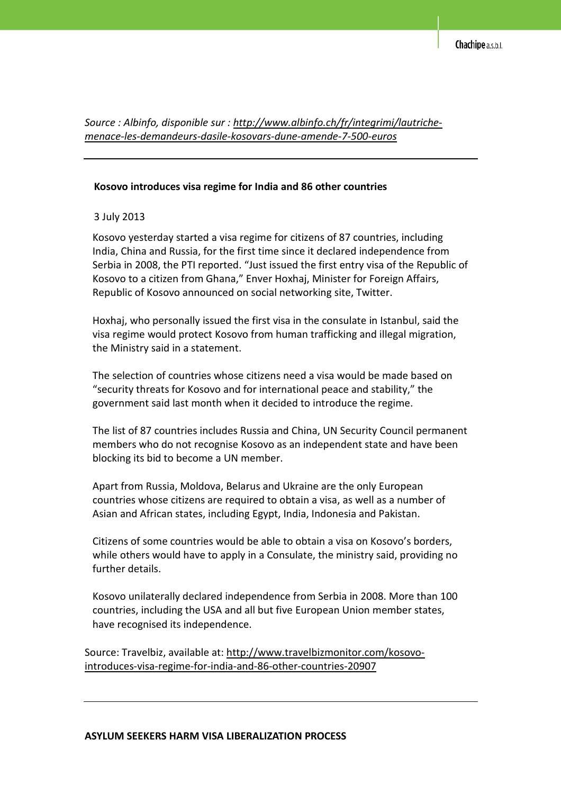*Source : Albinfo, disponible sur : http://www.albinfo.ch/fr/integrimi/lautrichemenace-les-demandeurs-dasile-kosovars-dune-amende-7-500-euros*

#### **Kosovo introduces visa regime for India and 86 other countries**

#### 3 July 2013

Kosovo yesterday started a visa regime for citizens of 87 countries, including India, China and Russia, for the first time since it declared independence from Serbia in 2008, the PTI reported. "Just issued the first entry visa of the Republic of Kosovo to a citizen from Ghana," Enver Hoxhaj, Minister for Foreign Affairs, Republic of Kosovo announced on social networking site, Twitter.

Hoxhaj, who personally issued the first visa in the consulate in Istanbul, said the visa regime would protect Kosovo from human trafficking and illegal migration, the Ministry said in a statement.

The selection of countries whose citizens need a visa would be made based on "security threats for Kosovo and for international peace and stability," the government said last month when it decided to introduce the regime.

The list of 87 countries includes Russia and China, UN Security Council permanent members who do not recognise Kosovo as an independent state and have been blocking its bid to become a UN member.

Apart from Russia, Moldova, Belarus and Ukraine are the only European countries whose citizens are required to obtain a visa, as well as a number of Asian and African states, including Egypt, India, Indonesia and Pakistan.

Citizens of some countries would be able to obtain a visa on Kosovo's borders, while others would have to apply in a Consulate, the ministry said, providing no further details.

Kosovo unilaterally declared independence from Serbia in 2008. More than 100 countries, including the USA and all but five European Union member states, have recognised its independence.

Source: Travelbiz, available at: http://www.travelbizmonitor.com/kosovointroduces-visa-regime-for-india-and-86-other-countries-20907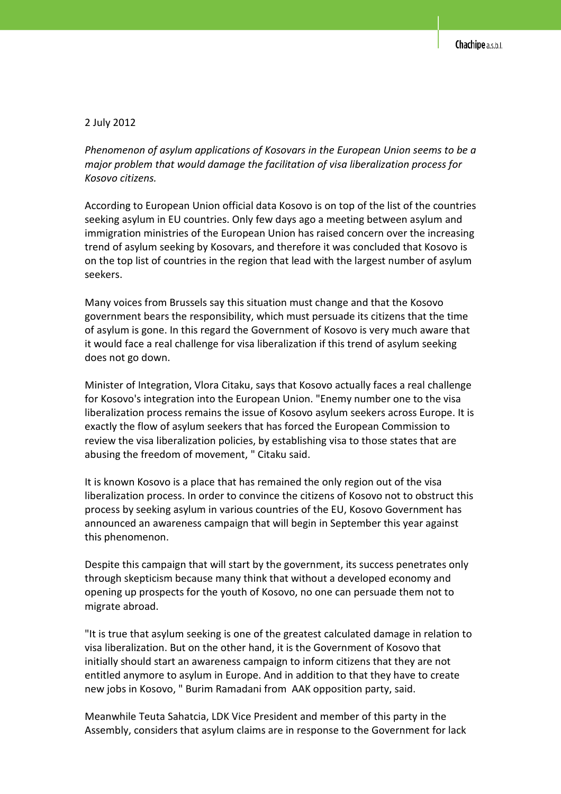#### 2 July 2012

*Phenomenon of asylum applications of Kosovars in the European Union seems to be a major problem that would damage the facilitation of visa liberalization process for Kosovo citizens.* 

According to European Union official data Kosovo is on top of the list of the countries seeking asylum in EU countries. Only few days ago a meeting between asylum and immigration ministries of the European Union has raised concern over the increasing trend of asylum seeking by Kosovars, and therefore it was concluded that Kosovo is on the top list of countries in the region that lead with the largest number of asylum seekers.

Many voices from Brussels say this situation must change and that the Kosovo government bears the responsibility, which must persuade its citizens that the time of asylum is gone. In this regard the Government of Kosovo is very much aware that it would face a real challenge for visa liberalization if this trend of asylum seeking does not go down.

Minister of Integration, Vlora Citaku, says that Kosovo actually faces a real challenge for Kosovo's integration into the European Union. "Enemy number one to the visa liberalization process remains the issue of Kosovo asylum seekers across Europe. It is exactly the flow of asylum seekers that has forced the European Commission to review the visa liberalization policies, by establishing visa to those states that are abusing the freedom of movement, " Citaku said.

It is known Kosovo is a place that has remained the only region out of the visa liberalization process. In order to convince the citizens of Kosovo not to obstruct this process by seeking asylum in various countries of the EU, Kosovo Government has announced an awareness campaign that will begin in September this year against this phenomenon.

Despite this campaign that will start by the government, its success penetrates only through skepticism because many think that without a developed economy and opening up prospects for the youth of Kosovo, no one can persuade them not to migrate abroad.

"It is true that asylum seeking is one of the greatest calculated damage in relation to visa liberalization. But on the other hand, it is the Government of Kosovo that initially should start an awareness campaign to inform citizens that they are not entitled anymore to asylum in Europe. And in addition to that they have to create new jobs in Kosovo, " Burim Ramadani from AAK opposition party, said.

Meanwhile Teuta Sahatcia, LDK Vice President and member of this party in the Assembly, considers that asylum claims are in response to the Government for lack